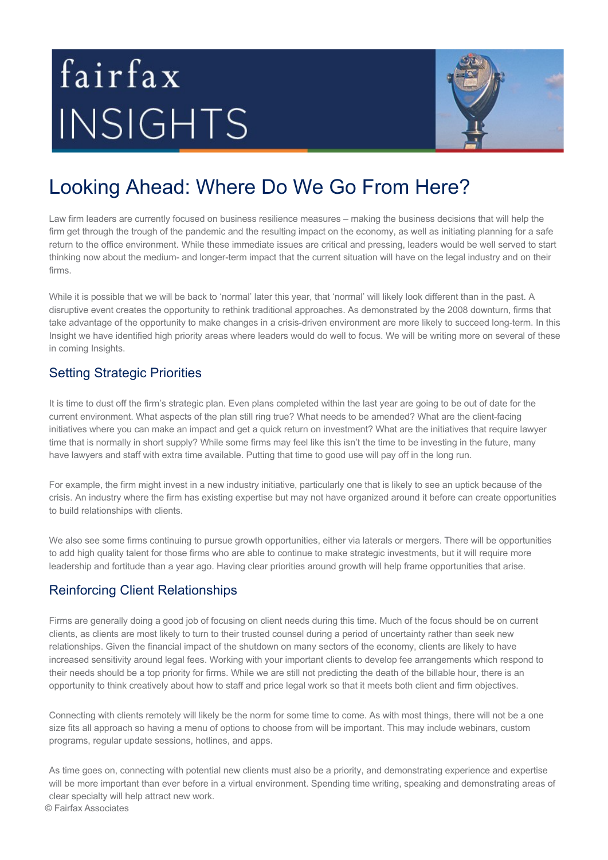# fairfax INSIGHTS



# Looking Ahead: Where Do We Go From Here?

Law firm leaders are currently focused on business resilience measures – making the business decisions that will help the firm get through the trough of the pandemic and the resulting impact on the economy, as well as initiating planning for a safe return to the office environment. While these immediate issues are critical and pressing, leaders would be well served to start thinking now about the medium- and longer-term impact that the current situation will have on the legal industry and on their firms.

While it is possible that we will be back to 'normal' later this year, that 'normal' will likely look different than in the past. A disruptive event creates the opportunity to rethink traditional approaches. As demonstrated by the 2008 downturn, firms that take advantage of the opportunity to make changes in a crisis-driven environment are more likely to succeed long-term. In this Insight we have identified high priority areas where leaders would do well to focus. We will be writing more on several of these in coming Insights.

### Setting Strategic Priorities

It is time to dust off the firm's strategic plan. Even plans completed within the last year are going to be out of date for the current environment. What aspects of the plan still ring true? What needs to be amended? What are the client-facing initiatives where you can make an impact and get a quick return on investment? What are the initiatives that require lawyer time that is normally in short supply? While some firms may feel like this isn't the time to be investing in the future, many have lawyers and staff with extra time available. Putting that time to good use will pay off in the long run.

For example, the firm might invest in a new industry initiative, particularly one that is likely to see an uptick because of the crisis. An industry where the firm has existing expertise but may not have organized around it before can create opportunities to build relationships with clients.

We also see some firms continuing to pursue growth opportunities, either via laterals or mergers. There will be opportunities to add high quality talent for those firms who are able to continue to make strategic investments, but it will require more leadership and fortitude than a year ago. Having clear priorities around growth will help frame opportunities that arise.

# Reinforcing Client Relationships

Firms are generally doing a good job of focusing on client needs during this time. Much of the focus should be on current clients, as clients are most likely to turn to their trusted counsel during a period of uncertainty rather than seek new relationships. Given the financial impact of the shutdown on many sectors of the economy, clients are likely to have increased sensitivity around legal fees. Working with your important clients to develop fee arrangements which respond to their needs should be a top priority for firms. While we are still not predicting the death of the billable hour, there is an opportunity to think creatively about how to staff and price legal work so that it meets both client and firm objectives.

Connecting with clients remotely will likely be the norm for some time to come. As with most things, there will not be a one size fits all approach so having a menu of options to choose from will be important. This may include webinars, custom programs, regular update sessions, hotlines, and apps.

As time goes on, connecting with potential new clients must also be a priority, and demonstrating experience and expertise will be more important than ever before in a virtual environment. Spending time writing, speaking and demonstrating areas of clear specialty will help attract new work.

© Fairfax Associates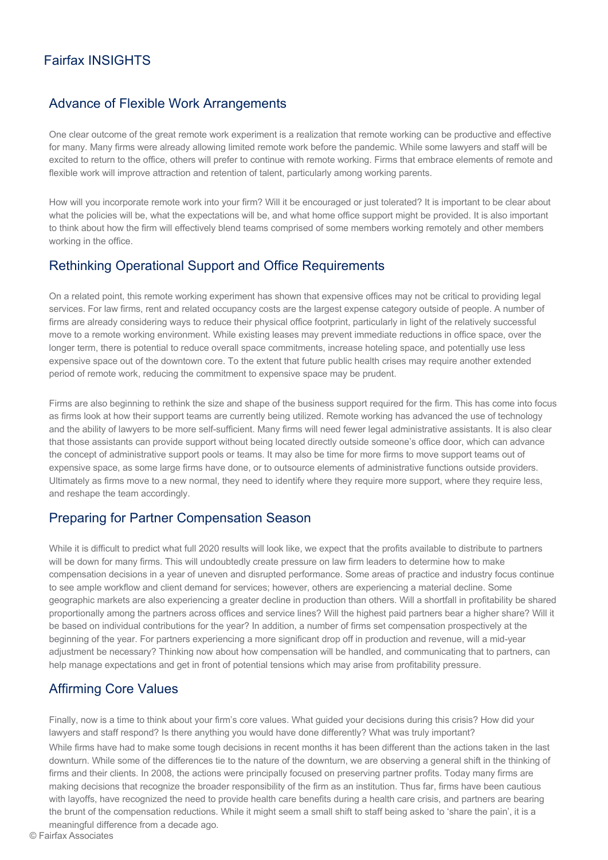# Fairfax INSIGHTS

#### Advance of Flexible Work Arrangements

One clear outcome of the great remote work experiment is a realization that remote working can be productive and effective for many. Many firms were already allowing limited remote work before the pandemic. While some lawyers and staff will be excited to return to the office, others will prefer to continue with remote working. Firms that embrace elements of remote and flexible work will improve attraction and retention of talent, particularly among working parents.

How will you incorporate remote work into your firm? Will it be encouraged or just tolerated? It is important to be clear about what the policies will be, what the expectations will be, and what home office support might be provided. It is also important to think about how the firm will effectively blend teams comprised of some members working remotely and other members working in the office.

#### Rethinking Operational Support and Office Requirements

On a related point, this remote working experiment has shown that expensive offices may not be critical to providing legal services. For law firms, rent and related occupancy costs are the largest expense category outside of people. A number of firms are already considering ways to reduce their physical office footprint, particularly in light of the relatively successful move to a remote working environment. While existing leases may prevent immediate reductions in office space, over the longer term, there is potential to reduce overall space commitments, increase hoteling space, and potentially use less expensive space out of the downtown core. To the extent that future public health crises may require another extended period of remote work, reducing the commitment to expensive space may be prudent.

Firms are also beginning to rethink the size and shape of the business support required for the firm. This has come into focus as firms look at how their support teams are currently being utilized. Remote working has advanced the use of technology and the ability of lawyers to be more self-sufficient. Many firms will need fewer legal administrative assistants. It is also clear that those assistants can provide support without being located directly outside someone's office door, which can advance the concept of administrative support pools or teams. It may also be time for more firms to move support teams out of expensive space, as some large firms have done, or to outsource elements of administrative functions outside providers. Ultimately as firms move to a new normal, they need to identify where they require more support, where they require less, and reshape the team accordingly.

#### Preparing for Partner Compensation Season

While it is difficult to predict what full 2020 results will look like, we expect that the profits available to distribute to partners will be down for many firms. This will undoubtedly create pressure on law firm leaders to determine how to make compensation decisions in a year of uneven and disrupted performance. Some areas of practice and industry focus continue to see ample workflow and client demand for services; however, others are experiencing a material decline. Some geographic markets are also experiencing a greater decline in production than others. Will a shortfall in profitability be shared proportionally among the partners across offices and service lines? Will the highest paid partners bear a higher share? Will it be based on individual contributions for the year? In addition, a number of firms set compensation prospectively at the beginning of the year. For partners experiencing a more significant drop off in production and revenue, will a mid-year adjustment be necessary? Thinking now about how compensation will be handled, and communicating that to partners, can help manage expectations and get in front of potential tensions which may arise from profitability pressure.

#### Affirming Core Values

Finally, now is a time to think about your firm's core values. What guided your decisions during this crisis? How did your lawyers and staff respond? Is there anything you would have done differently? What was truly important? While firms have had to make some tough decisions in recent months it has been different than the actions taken in the last downturn. While some of the differences tie to the nature of the downturn, we are observing a general shift in the thinking of firms and their clients. In 2008, the actions were principally focused on preserving partner profits. Today many firms are making decisions that recognize the broader responsibility of the firm as an institution. Thus far, firms have been cautious with layoffs, have recognized the need to provide health care benefits during a health care crisis, and partners are bearing the brunt of the compensation reductions. While it might seem a small shift to staff being asked to 'share the pain', it is a meaningful difference from a decade ago.

© Fairfax Associates